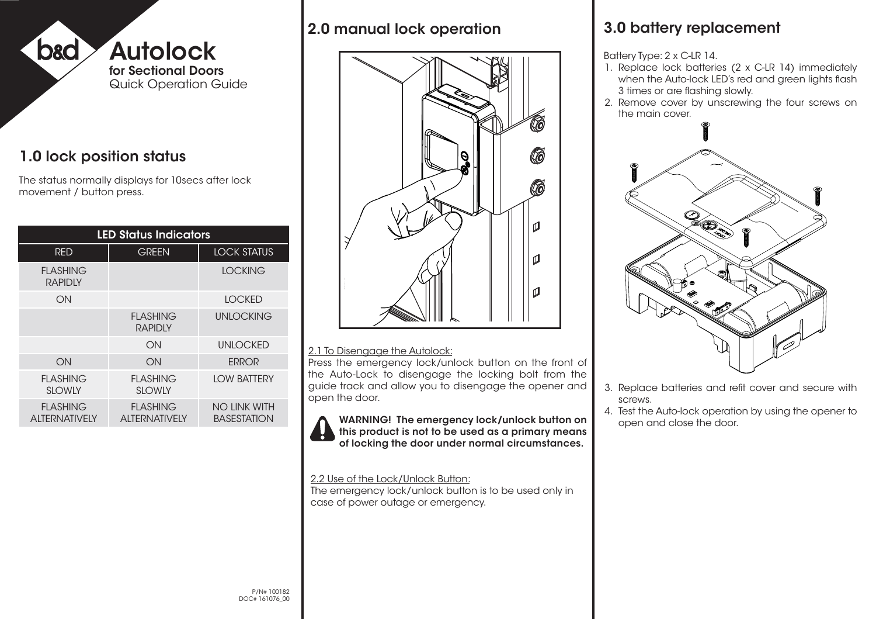

## 1.0 lock position status

The status normally displays for 10secs after lock movement / button press.

| <b>LED Status Indicators</b>            |                                         |                                           |
|-----------------------------------------|-----------------------------------------|-------------------------------------------|
| <b>RED</b>                              | <b>GREEN</b>                            | <b>LOCK STATUS</b>                        |
| <b>FLASHING</b><br><b>RAPIDIY</b>       |                                         | <b>LOCKING</b>                            |
| ON                                      |                                         | <b>LOCKED</b>                             |
|                                         | <b>FLASHING</b><br><b>RAPIDLY</b>       | <b>UNLOCKING</b>                          |
|                                         | ON                                      | <b>UNLOCKED</b>                           |
| ON                                      | ON                                      | <b>ERROR</b>                              |
| <b>FLASHING</b><br><b>SLOWLY</b>        | FLASHING<br><b>SLOWLY</b>               | <b>LOW BATTERY</b>                        |
| <b>FLASHING</b><br><b>ALTERNATIVELY</b> | <b>FLASHING</b><br><b>ALTERNATIVELY</b> | <b>NO LINK WITH</b><br><b>BASESTATION</b> |

### 2.0 manual lock operation



#### 2.1 To Disengage the Autolock:

Press the emergency lock/unlock button on the front of the Auto-Lock to disengage the locking bolt from the guide track and allow you to disengage the opener and open the door.

WARNING! The emergency lock/unlock button on this product is not to be used as a primary means of locking the door under normal circumstances.

#### 2.2 Use of the Lock/Unlock Button:

The emergency lock/unlock button is to be used only in case of power outage or emergency.

## 3.0 battery replacement

Battery Type: 2 x C-LR 14.

- 1. Replace lock batteries (2 x C-LR 14) immediately when the Auto-lock LED's red and green lights flash 3 times or are flashing slowly.
- 2. Remove cover by unscrewing the four screws on the main cover.



- 3. Replace batteries and refit cover and secure with screws.
- 4. Test the Auto-lock operation by using the opener to open and close the door.